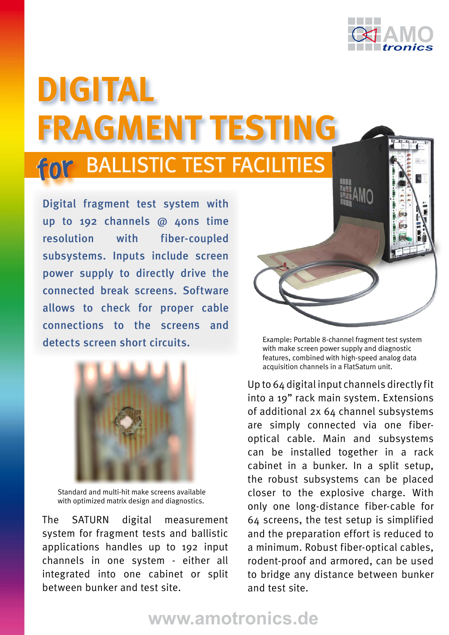

## for BALLISTIC TEST FACILITIES **DigitaL Fragment Testing**

**Digital fragment test system with up to 192 channels @ 40ns time resolution with fiber-coupled subsystems. Inputs include screen power supply to directly drive the connected break screens. Software allows to check for proper cable connections to the screens and detects screen short circuits.** Example: Portable 8-channel fragment test system



Standard and multi-hit make screens available with optimized matrix design and diagnostics.

The SATURN digital measurement system for fragment tests and ballistic applications handles up to 192 input channels in one system - either all integrated into one cabinet or split between bunker and test site.



with make screen power supply and diagnostic features, combined with high-speed analog data acquisition channels in a FlatSaturn unit.

Up to 64 digital input channels directly fit into a 19" rack main system. Extensions of additional 2x 64 channel subsystems are simply connected via one fiberoptical cable. Main and subsystems can be installed together in a rack cabinet in a bunker. In a split setup, the robust subsystems can be placed closer to the explosive charge. With only one long-distance fiber-cable for 64 screens, the test setup is simplified and the preparation effort is reduced to a minimum. Robust fiber-optical cables, rodent-proof and armored, can be used to bridge any distance between bunker and test site.

## **www.amotronics.de**